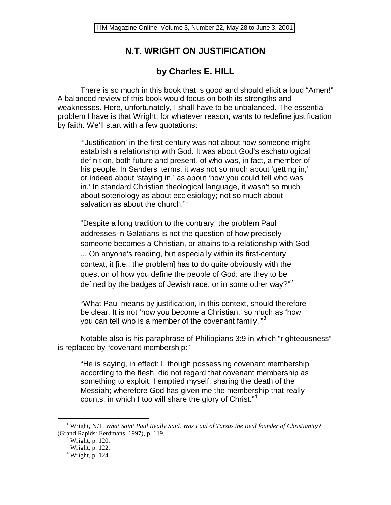# **N.T. WRIGHT ON JUSTIFICATION**

# **by Charles E. HILL**

There is so much in this book that is good and should elicit a loud "Amen!" A balanced review of this book would focus on both its strengths and weaknesses. Here, unfortunately, I shall have to be unbalanced. The essential problem I have is that Wright, for whatever reason, wants to redefine justification by faith. We'll start with a few quotations:

"'Justification' in the first century was not about how someone might establish a relationship with God. It was about God's eschatological definition, both future and present, of who was, in fact, a member of his people. In Sanders' terms, it was not so much about 'getting in,' or indeed about 'staying in,' as about 'how you could tell who was in.' In standard Christian theological language, it wasn't so much about soteriology as about ecclesiology; not so much about salvation as about the church."<sup>1</sup>

"Despite a long tradition to the contrary, the problem Paul addresses in Galatians is not the question of how precisely someone becomes a Christian, or attains to a relationship with God ... On anyone's reading, but especially within its first-century context, it [i.e., the problem] has to do quite obviously with the question of how you define the people of God: are they to be defined by the badges of Jewish race, or in some other way?"  $2^{\frac{1}{2}}$ 

"What Paul means by justification, in this context, should therefore be clear. It is not 'how you become a Christian,' so much as 'how you can tell who is a member of the covenant family."<sup>3</sup>

 Notable also is his paraphrase of Philippians 3:9 in which "righteousness" is replaced by "covenant membership:"

"He is saying, in effect: I, though possessing covenant membership according to the flesh, did not regard that covenant membership as something to exploit; I emptied myself, sharing the death of the Messiah; wherefore God has given me the membership that really counts, in which I too will share the glory of Christ."<sup>4</sup>

 $\frac{1}{1}$  Wright, N.T. *What Saint Paul Really Said. Was Paul of Tarsus the Real founder of Christianity?* (Grand Rapids: Eerdmans, 1997), p. 119. 2

 $2$  Wright, p. 120.

<sup>3</sup> Wright, p. 122.

<sup>4</sup> Wright, p. 124.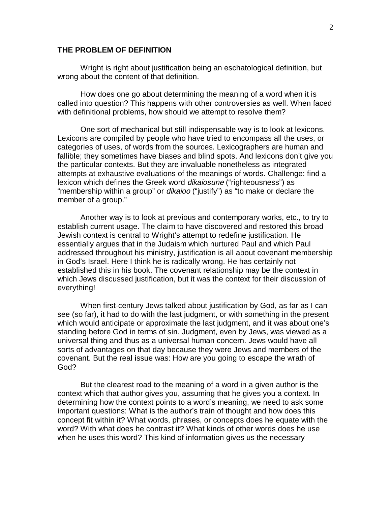### **THE PROBLEM OF DEFINITION**

 Wright is right about justification being an eschatological definition, but wrong about the content of that definition.

 How does one go about determining the meaning of a word when it is called into question? This happens with other controversies as well. When faced with definitional problems, how should we attempt to resolve them?

 One sort of mechanical but still indispensable way is to look at lexicons. Lexicons are compiled by people who have tried to encompass all the uses, or categories of uses, of words from the sources. Lexicographers are human and fallible; they sometimes have biases and blind spots. And lexicons don't give you the particular contexts. But they are invaluable nonetheless as integrated attempts at exhaustive evaluations of the meanings of words. Challenge: find a lexicon which defines the Greek word dikaiosune ("righteousness") as "membership within a group" or *dikaioo* ("justify") as "to make or declare the member of a group."

 Another way is to look at previous and contemporary works, etc., to try to establish current usage. The claim to have discovered and restored this broad Jewish context is central to Wright's attempt to redefine justification. He essentially argues that in the Judaism which nurtured Paul and which Paul addressed throughout his ministry, justification is all about covenant membership in God's Israel. Here I think he is radically wrong. He has certainly not established this in his book. The covenant relationship may be the context in which Jews discussed justification, but it was the context for their discussion of everything!

 When first-century Jews talked about justification by God, as far as I can see (so far), it had to do with the last judgment, or with something in the present which would anticipate or approximate the last judgment, and it was about one's standing before God in terms of sin. Judgment, even by Jews, was viewed as a universal thing and thus as a universal human concern. Jews would have all sorts of advantages on that day because they were Jews and members of the covenant. But the real issue was: How are you going to escape the wrath of God?

 But the clearest road to the meaning of a word in a given author is the context which that author gives you, assuming that he gives you a context. In determining how the context points to a word's meaning, we need to ask some important questions: What is the author's train of thought and how does this concept fit within it? What words, phrases, or concepts does he equate with the word? With what does he contrast it? What kinds of other words does he use when he uses this word? This kind of information gives us the necessary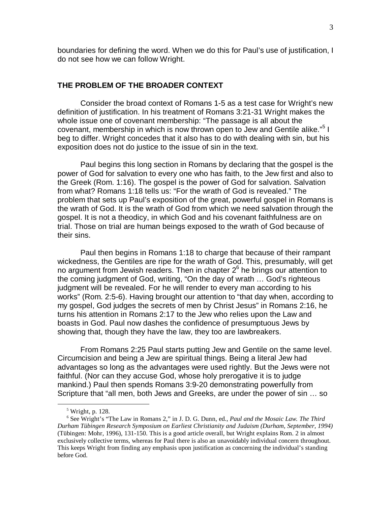boundaries for defining the word. When we do this for Paul's use of justification, I do not see how we can follow Wright.

#### **THE PROBLEM OF THE BROADER CONTEXT**

 Consider the broad context of Romans 1-5 as a test case for Wright's new definition of justification. In his treatment of Romans 3:21-31 Wright makes the whole issue one of covenant membership: "The passage is all about the covenant, membership in which is now thrown open to Jew and Gentile alike."<sup>5</sup> I beg to differ. Wright concedes that it also has to do with dealing with sin, but his exposition does not do justice to the issue of sin in the text.

 Paul begins this long section in Romans by declaring that the gospel is the power of God for salvation to every one who has faith, to the Jew first and also to the Greek (Rom. 1:16). The gospel is the power of God for salvation. Salvation from what? Romans 1:18 tells us: "For the wrath of God is revealed." The problem that sets up Paul's exposition of the great, powerful gospel in Romans is the wrath of God. It is the wrath of God from which we need salvation through the gospel. It is not a theodicy, in which God and his covenant faithfulness are on trial. Those on trial are human beings exposed to the wrath of God because of their sins.

 Paul then begins in Romans 1:18 to charge that because of their rampant wickedness, the Gentiles are ripe for the wrath of God. This, presumably, will get no argument from Jewish readers. Then in chapter  $2^6$  he brings our attention to the coming judgment of God, writing, "On the day of wrath … God's righteous judgment will be revealed. For he will render to every man according to his works" (Rom. 2:5-6). Having brought our attention to "that day when, according to my gospel, God judges the secrets of men by Christ Jesus" in Romans 2:16, he turns his attention in Romans 2:17 to the Jew who relies upon the Law and boasts in God. Paul now dashes the confidence of presumptuous Jews by showing that, though they have the law, they too are lawbreakers.

 From Romans 2:25 Paul starts putting Jew and Gentile on the same level. Circumcision and being a Jew are spiritual things. Being a literal Jew had advantages so long as the advantages were used rightly. But the Jews were not faithful. (Nor can they accuse God, whose holy prerogative it is to judge mankind.) Paul then spends Romans 3:9-20 demonstrating powerfully from Scripture that "all men, both Jews and Greeks, are under the power of sin … so

 $rac{1}{5}$ Wright, p. 128.

<sup>6</sup> See Wright's "The Law in Romans 2," in J. D. G. Dunn, ed., *Paul and the Mosaic Law. The Third Durham Tübingen Research Symposium on Earliest Christianity and Judaism (Durham, September, 1994)* (Tübingen: Mohr, 1996), 131-150. This is a good article overall, but Wright explains Rom. 2 in almost exclusively collective terms, whereas for Paul there is also an unavoidably individual concern throughout. This keeps Wright from finding any emphasis upon justification as concerning the individual's standing before God.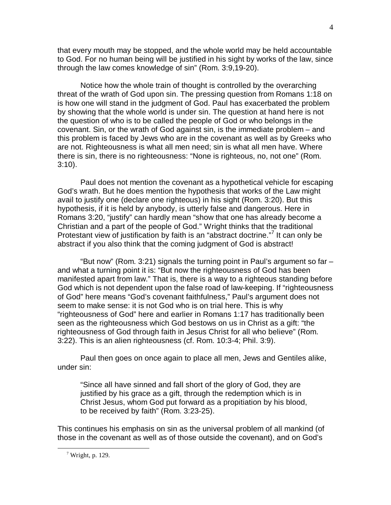that every mouth may be stopped, and the whole world may be held accountable to God. For no human being will be justified in his sight by works of the law, since through the law comes knowledge of sin" (Rom. 3:9,19-20).

 Notice how the whole train of thought is controlled by the overarching threat of the wrath of God upon sin. The pressing question from Romans 1:18 on is how one will stand in the judgment of God. Paul has exacerbated the problem by showing that the whole world is under sin. The question at hand here is not the question of who is to be called the people of God or who belongs in the covenant. Sin, or the wrath of God against sin, is the immediate problem – and this problem is faced by Jews who are in the covenant as well as by Greeks who are not. Righteousness is what all men need; sin is what all men have. Where there is sin, there is no righteousness: "None is righteous, no, not one" (Rom. 3:10).

 Paul does not mention the covenant as a hypothetical vehicle for escaping God's wrath. But he does mention the hypothesis that works of the Law might avail to justify one (declare one righteous) in his sight (Rom. 3:20). But this hypothesis, if it is held by anybody, is utterly false and dangerous. Here in Romans 3:20, "justify" can hardly mean "show that one has already become a Christian and a part of the people of God." Wright thinks that the traditional Protestant view of justification by faith is an "abstract doctrine."<sup>7</sup> It can only be abstract if you also think that the coming judgment of God is abstract!

 "But now" (Rom. 3:21) signals the turning point in Paul's argument so far – and what a turning point it is: "But now the righteousness of God has been manifested apart from law." That is, there is a way to a righteous standing before God which is not dependent upon the false road of law-keeping. If "righteousness of God" here means "God's covenant faithfulness," Paul's argument does not seem to make sense: it is not God who is on trial here. This is why "righteousness of God" here and earlier in Romans 1:17 has traditionally been seen as the righteousness which God bestows on us in Christ as a gift: "the righteousness of God through faith in Jesus Christ for all who believe" (Rom. 3:22). This is an alien righteousness (cf. Rom. 10:3-4; Phil. 3:9).

 Paul then goes on once again to place all men, Jews and Gentiles alike, under sin:

"Since all have sinned and fall short of the glory of God, they are justified by his grace as a gift, through the redemption which is in Christ Jesus, whom God put forward as a propitiation by his blood, to be received by faith" (Rom. 3:23-25).

This continues his emphasis on sin as the universal problem of all mankind (of those in the covenant as well as of those outside the covenant), and on God's

 $\frac{1}{7}$  $7$  Wright, p. 129.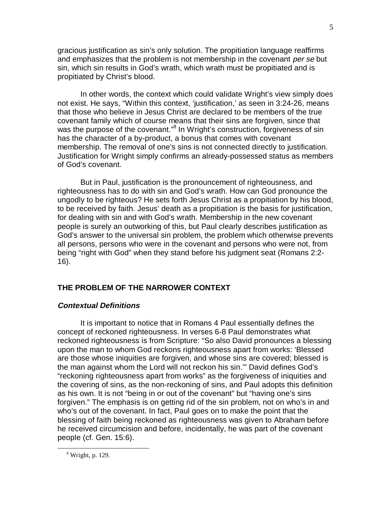gracious justification as sin's only solution. The propitiation language reaffirms and emphasizes that the problem is not membership in the covenant per se but sin, which sin results in God's wrath, which wrath must be propitiated and is propitiated by Christ's blood.

 In other words, the context which could validate Wright's view simply does not exist. He says, "Within this context, 'justification,' as seen in 3:24-26, means that those who believe in Jesus Christ are declared to be members of the true covenant family which of course means that their sins are forgiven, since that was the purpose of the covenant."<sup>8</sup> In Wright's construction, forgiveness of sin has the character of a by-product, a bonus that comes with covenant membership. The removal of one's sins is not connected directly to justification. Justification for Wright simply confirms an already-possessed status as members of God's covenant.

 But in Paul, justification is the pronouncement of righteousness, and righteousness has to do with sin and God's wrath. How can God pronounce the ungodly to be righteous? He sets forth Jesus Christ as a propitiation by his blood, to be received by faith. Jesus' death as a propitiation is the basis for justification, for dealing with sin and with God's wrath. Membership in the new covenant people is surely an outworking of this, but Paul clearly describes justification as God's answer to the universal sin problem, the problem which otherwise prevents all persons, persons who were in the covenant and persons who were not, from being "right with God" when they stand before his judgment seat (Romans 2:2- 16).

## **THE PROBLEM OF THE NARROWER CONTEXT**

### **Contextual Definitions**

 It is important to notice that in Romans 4 Paul essentially defines the concept of reckoned righteousness. In verses 6-8 Paul demonstrates what reckoned righteousness is from Scripture: "So also David pronounces a blessing upon the man to whom God reckons righteousness apart from works: 'Blessed are those whose iniquities are forgiven, and whose sins are covered; blessed is the man against whom the Lord will not reckon his sin.'" David defines God's "reckoning righteousness apart from works" as the forgiveness of iniquities and the covering of sins, as the non-reckoning of sins, and Paul adopts this definition as his own. It is not "being in or out of the covenant" but "having one's sins forgiven." The emphasis is on getting rid of the sin problem, not on who's in and who's out of the covenant. In fact, Paul goes on to make the point that the blessing of faith being reckoned as righteousness was given to Abraham before he received circumcision and before, incidentally, he was part of the covenant people (cf. Gen. 15:6).

 <sup>8</sup> Wright, p. 129.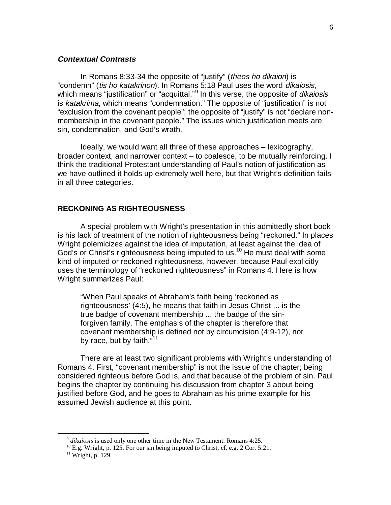## **Contextual Contrasts**

 In Romans 8:33-34 the opposite of "justify" (theos ho dikaion) is "condemn" (tis ho katakrinon). In Romans 5:18 Paul uses the word dikaiosis, which means "justification" or "acquittal."<sup>9</sup> In this verse, the opposite of *dikaiosis* is katakrima, which means "condemnation." The opposite of "justification" is not "exclusion from the covenant people"; the opposite of "justify" is not "declare nonmembership in the covenant people." The issues which justification meets are sin, condemnation, and God's wrath.

 Ideally, we would want all three of these approaches – lexicography, broader context, and narrower context – to coalesce, to be mutually reinforcing. I think the traditional Protestant understanding of Paul's notion of justification as we have outlined it holds up extremely well here, but that Wright's definition fails in all three categories.

#### **RECKONING AS RIGHTEOUSNESS**

 A special problem with Wright's presentation in this admittedly short book is his lack of treatment of the notion of righteousness being "reckoned." In places Wright polemicizes against the idea of imputation, at least against the idea of God's or Christ's righteousness being imputed to us.<sup>10</sup> He must deal with some kind of imputed or reckoned righteousness, however, because Paul explicitly uses the terminology of "reckoned righteousness" in Romans 4. Here is how Wright summarizes Paul:

"When Paul speaks of Abraham's faith being 'reckoned as righteousness' (4:5), he means that faith in Jesus Christ ... is the true badge of covenant membership ... the badge of the sinforgiven family. The emphasis of the chapter is therefore that covenant membership is defined not by circumcision (4:9-12), nor by race, but by faith."<sup>11</sup>

 There are at least two significant problems with Wright's understanding of Romans 4. First, "covenant membership" is not the issue of the chapter; being considered righteous before God is, and that because of the problem of sin. Paul begins the chapter by continuing his discussion from chapter 3 about being justified before God, and he goes to Abraham as his prime example for his assumed Jewish audience at this point.

<sup>&</sup>lt;sup>9</sup> *dikaiosis* is used only one other time in the New Testament: Romans 4:25.  $^{10}$  E.g. Wright, p. 125. For our sin being imputed to Christ, cf. e.g. 2 Cor. 5:21.

<sup>&</sup>lt;sup>11</sup> Wright, p. 129.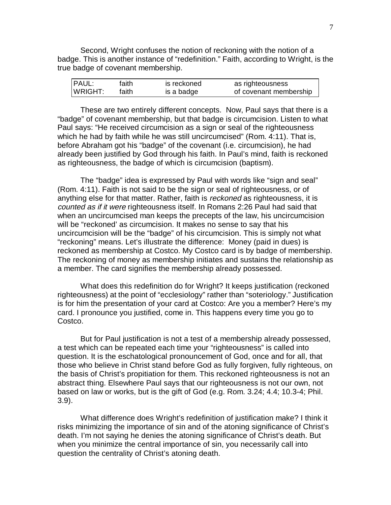Second, Wright confuses the notion of reckoning with the notion of a badge. This is another instance of "redefinition." Faith, according to Wright, is the true badge of covenant membership.

| <b>PAUL:</b> | faith | is reckoned | as righteousness       |
|--------------|-------|-------------|------------------------|
| WRIGHT:      | faith | is a badge  | of covenant membership |

 These are two entirely different concepts. Now, Paul says that there is a "badge" of covenant membership, but that badge is circumcision. Listen to what Paul says: "He received circumcision as a sign or seal of the righteousness which he had by faith while he was still uncircumcised" (Rom. 4:11). That is, before Abraham got his "badge" of the covenant (i.e. circumcision), he had already been justified by God through his faith. In Paul's mind, faith is reckoned as righteousness, the badge of which is circumcision (baptism).

 The "badge" idea is expressed by Paul with words like "sign and seal" (Rom. 4:11). Faith is not said to be the sign or seal of righteousness, or of anything else for that matter. Rather, faith is reckoned as righteousness, it is counted as if it were righteousness itself. In Romans 2:26 Paul had said that when an uncircumcised man keeps the precepts of the law, his uncircumcision will be "reckoned' as circumcision. It makes no sense to say that his uncircumcision will be the "badge" of his circumcision. This is simply not what "reckoning" means. Let's illustrate the difference: Money (paid in dues) is reckoned as membership at Costco. My Costco card is by badge of membership. The reckoning of money as membership initiates and sustains the relationship as a member. The card signifies the membership already possessed.

 What does this redefinition do for Wright? It keeps justification (reckoned righteousness) at the point of "ecclesiology" rather than "soteriology." Justification is for him the presentation of your card at Costco: Are you a member? Here's my card. I pronounce you justified, come in. This happens every time you go to Costco.

 But for Paul justification is not a test of a membership already possessed, a test which can be repeated each time your "righteousness" is called into question. It is the eschatological pronouncement of God, once and for all, that those who believe in Christ stand before God as fully forgiven, fully righteous, on the basis of Christ's propitiation for them. This reckoned righteousness is not an abstract thing. Elsewhere Paul says that our righteousness is not our own, not based on law or works, but is the gift of God (e.g. Rom. 3.24; 4.4; 10.3-4; Phil. 3.9).

 What difference does Wright's redefinition of justification make? I think it risks minimizing the importance of sin and of the atoning significance of Christ's death. I'm not saying he denies the atoning significance of Christ's death. But when you minimize the central importance of sin, you necessarily call into question the centrality of Christ's atoning death.